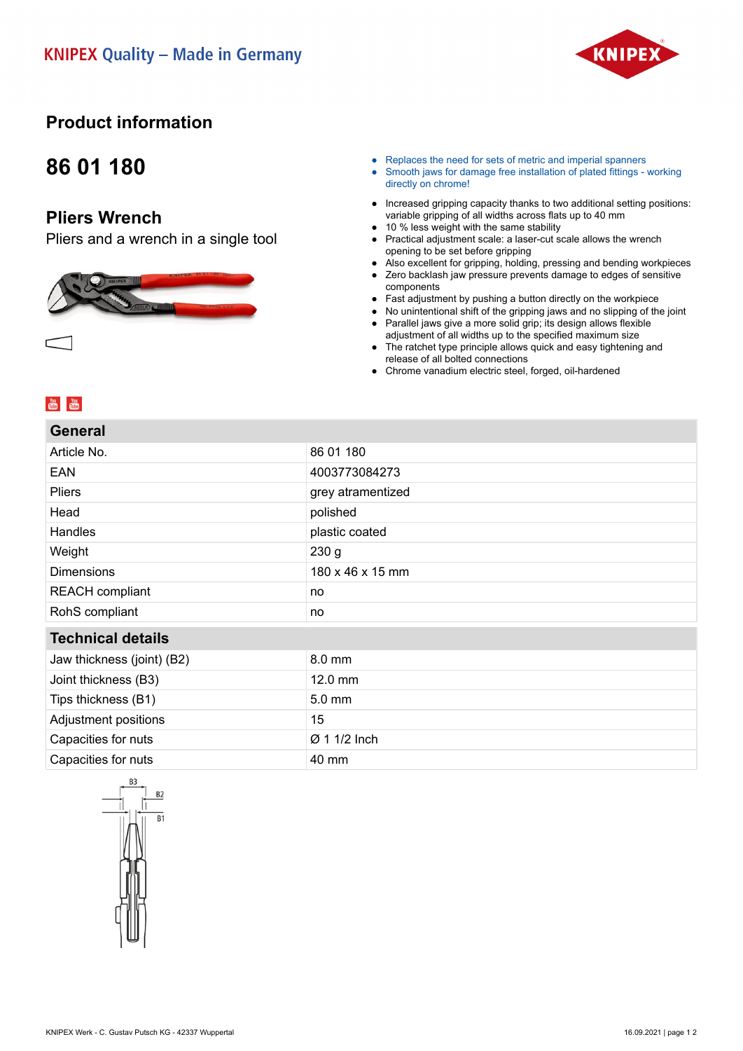

### **Product information**

## **86 01 180**

#### **Pliers Wrench**

Pliers and a wrench in a single tool



- Replaces the need for sets of metric and imperial spanners
- Smooth jaws for damage free installation of plated fittings working directly on chrome!
- Increased gripping capacity thanks to two additional setting positions: variable gripping of all widths across flats up to 40 mm
- 10 % less weight with the same stability
- Practical adjustment scale: a laser-cut scale allows the wrench opening to be set before gripping
- Also excellent for gripping, holding, pressing and bending workpieces
- Zero backlash jaw pressure prevents damage to edges of sensitive components
- Fast adjustment by pushing a button directly on the workpiece
- No unintentional shift of the gripping jaws and no slipping of the joint
- Parallel jaws give a more solid grip; its design allows flexible adjustment of all widths up to the specified maximum size
- The ratchet type principle allows quick and easy tightening and release of all bolted connections
- Chrome vanadium electric steel, forged, oil-hardened

#### $\frac{You}{(the)}$   $\frac{You}{(the)}$

**General**

| וסוסוסט                    |                   |
|----------------------------|-------------------|
| Article No.                | 86 01 180         |
| EAN                        | 4003773084273     |
| <b>Pliers</b>              | grey atramentized |
| Head                       | polished          |
| Handles                    | plastic coated    |
| Weight                     | 230 <sub>g</sub>  |
| <b>Dimensions</b>          | 180 x 46 x 15 mm  |
| <b>REACH</b> compliant     | no                |
| RohS compliant             | no                |
| <b>Technical details</b>   |                   |
| Jaw thickness (joint) (B2) | 8.0 mm            |
| Joint thickness (B3)       | $12.0 \text{ mm}$ |
| Tips thickness (B1)        | 5.0 mm            |
| Adjustment positions       | 15                |
| Capacities for nuts        | Ø 1 1/2 Inch      |
| Capacities for nuts        | 40 mm             |